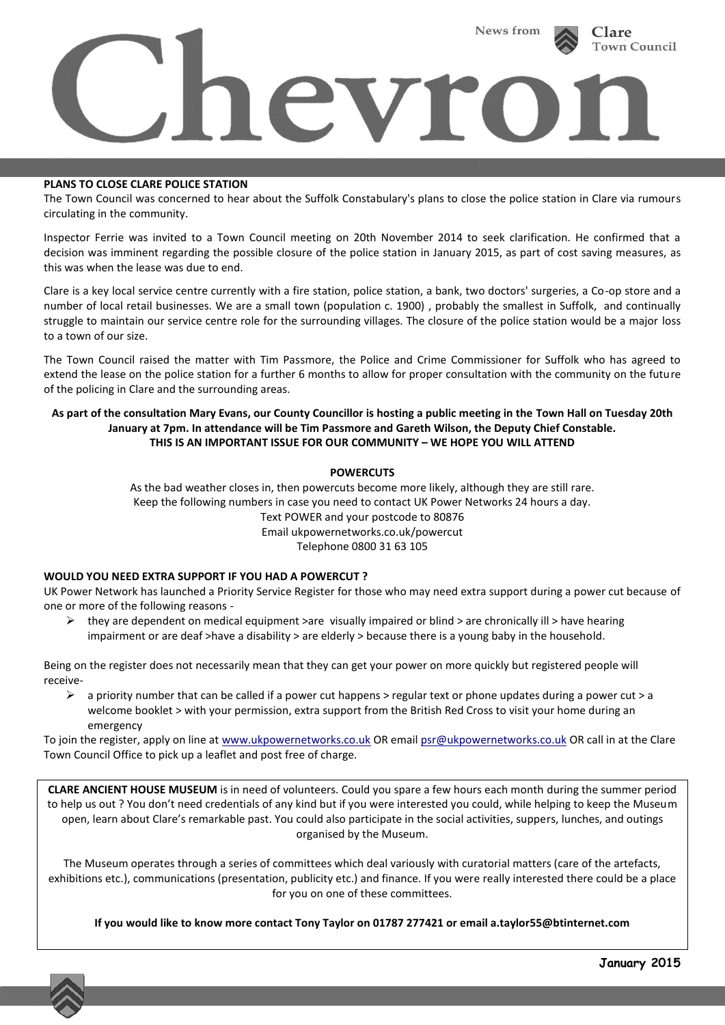

#### **PLANS TO CLOSE CLARE POLICE STATION**

The Town Council was concerned to hear about the Suffolk Constabulary's plans to close the police station in Clare via rumours circulating in the community.

Inspector Ferrie was invited to a Town Council meeting on 20th November 2014 to seek clarification. He confirmed that a decision was imminent regarding the possible closure of the police station in January 2015, as part of cost saving measures, as this was when the lease was due to end.

Clare is a key local service centre currently with a fire station, police station, a bank, two doctors' surgeries, a Co-op store and a number of local retail businesses. We are a small town (population c. 1900) , probably the smallest in Suffolk, and continually struggle to maintain our service centre role for the surrounding villages. The closure of the police station would be a major loss to a town of our size.

The Town Council raised the matter with Tim Passmore, the Police and Crime Commissioner for Suffolk who has agreed to extend the lease on the police station for a further 6 months to allow for proper consultation with the community on the future of the policing in Clare and the surrounding areas.

# **As part of the consultation Mary Evans, our County Councillor is hosting a public meeting in the Town Hall on Tuesday 20th January at 7pm. In attendance will be Tim Passmore and Gareth Wilson, the Deputy Chief Constable. THIS IS AN IMPORTANT ISSUE FOR OUR COMMUNITY – WE HOPE YOU WILL ATTEND**

# **POWERCUTS**

As the bad weather closes in, then powercuts become more likely, although they are still rare. Keep the following numbers in case you need to contact UK Power Networks 24 hours a day. Text POWER and your postcode to 80876 Email ukpowernetworks.co.uk/powercut Telephone 0800 31 63 105

#### **WOULD YOU NEED EXTRA SUPPORT IF YOU HAD A POWERCUT ?**

UK Power Network has launched a Priority Service Register for those who may need extra support during a power cut because of one or more of the following reasons -

 $\triangleright$  they are dependent on medical equipment >are visually impaired or blind > are chronically ill > have hearing impairment or are deaf >have a disability > are elderly > because there is a young baby in the household.

Being on the register does not necessarily mean that they can get your power on more quickly but registered people will receive-

 $\triangleright$  a priority number that can be called if a power cut happens > regular text or phone updates during a power cut > a welcome booklet > with your permission, extra support from the British Red Cross to visit your home during an emergency

To join the register, apply on line at [www.ukpowernetworks.co.uk](http://www.ukpowernetworks.co.uk/) OR emai[l psr@ukpowernetworks.co.uk](mailto:psr@ukpowernetworks.co.uk) OR call in at the Clare Town Council Office to pick up a leaflet and post free of charge.

**CLARE ANCIENT HOUSE MUSEUM** is in need of volunteers. Could you spare a few hours each month during the summer period to help us out ? You don't need credentials of any kind but if you were interested you could, while helping to keep the Museum open, learn about Clare's remarkable past. You could also participate in the social activities, suppers, lunches, and outings organised by the Museum.

The Museum operates through a series of committees which deal variously with curatorial matters (care of the artefacts, exhibitions etc.), communications (presentation, publicity etc.) and finance. If you were really interested there could be a place for you on one of these committees.

**If you would like to know more contact Tony Taylor on 01787 277421 or email a.taylor55@btinternet.com**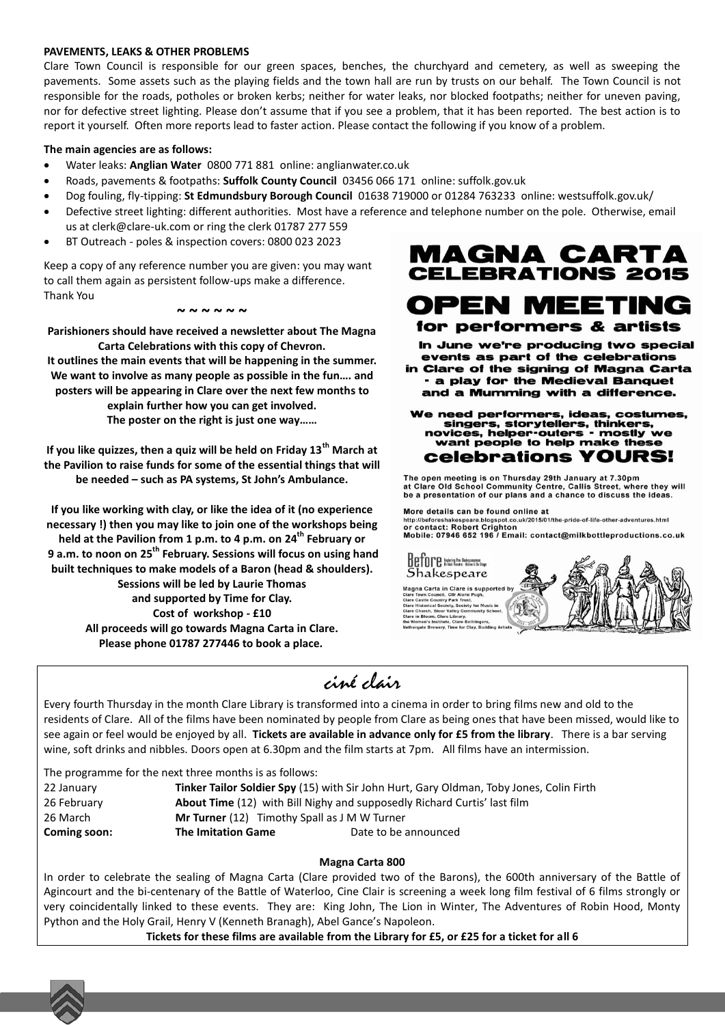### **PAVEMENTS, LEAKS & OTHER PROBLEMS**

Clare Town Council is responsible for our green spaces, benches, the churchyard and cemetery, as well as sweeping the pavements. Some assets such as the playing fields and the town hall are run by trusts on our behalf. The Town Council is not responsible for the roads, potholes or broken kerbs; neither for water leaks, nor blocked footpaths; neither for uneven paving, nor for defective street lighting. Please don't assume that if you see a problem, that it has been reported. The best action is to report it yourself. Often more reports lead to faster action. Please contact the following if you know of a problem.

### **The main agencies are as follows:**

- Water leaks: **Anglian Water** 0800 771 881 online: anglianwater.co.uk
- Roads, pavements & footpaths: **Suffolk County Council** 03456 066 171 online: suffolk.gov.uk
- Dog fouling, fly-tipping: **St Edmundsbury Borough Council** 01638 719000 or 01284 763233 online: westsuffolk.gov.uk/
- Defective street lighting: different authorities. Most have a reference and telephone number on the pole. Otherwise, email us at clerk@clare-uk.com or ring the clerk 01787 277 559
- BT Outreach poles & inspection covers: 0800 023 2023

Keep a copy of any reference number you are given: you may want to call them again as persistent follow-ups make a difference. Thank You

#### **~ ~ ~ ~ ~ ~**

**Parishioners should have received a newsletter about The Magna Carta Celebrations with this copy of Chevron. It outlines the main events that will be happening in the summer. We want to involve as many people as possible in the fun…. and posters will be appearing in Clare over the next few months to** 

**explain further how you can get involved. The poster on the right is just one way……**

**If you like quizzes, then a quiz will be held on Friday 13th March at the Pavilion to raise funds for some of the essential things that will be needed – such as PA systems, St John's Ambulance.**

**If you like working with clay, or like the idea of it (no experience necessary !) then you may like to join one of the workshops being held at the Pavilion from 1 p.m. to 4 p.m. on 24th February or 9 a.m. to noon on 25th February. Sessions will focus on using hand built techniques to make models of a Baron (head & shoulders). Sessions will be led by Laurie Thomas and supported by Time for Clay. Cost of workshop - £10 All proceeds will go towards Magna Carta in Clare. Please phone 01787 277446 to book a place.**



**OPEN MEETING** for performers & artists

In June we're producing two special events as part of the celebrations

**Clare of the signing of Magna Carta** - a play for the Medieval Banquet and a Mumming with a difference.

We need performers, ideas, costumes, singers, storytellers, thinke novices, helper-outers - mostly we want people to help make these celebrations YOURS!

The open meeting is on Thursday 29th January at 7.30pm<br>at Clare Old School Community Centre, Callis Street, where they will<br>be a presentation of our plans and a chance to discuss the ideas.

More details can be found online at ...<br>t.co.uk/2015/01/the-pride-of-life-other-adventures.html http://beforeshakespeare.blogspot.co.<br>Or contact: Robert Crighton Mobile: 07946 652 196 / Email: contact@milkbottleproductions.co.uk



# ciné clair

Every fourth Thursday in the month Clare Library is transformed into a cinema in order to bring films new and old to the residents of Clare. All of the films have been nominated by people from Clare as being ones that have been missed, would like to see again or feel would be enjoyed by all. **Tickets are available in advance only for £5 from the library**. There is a bar serving wine, soft drinks and nibbles. Doors open at 6.30pm and the film starts at 7pm. All films have an intermission.

The programme for the next three months is as follows:

 January **Tinker Tailor Soldier Spy** (15) with Sir John Hurt, Gary Oldman, Toby Jones, Colin Firth February **About Time** (12) with Bill Nighy and supposedly Richard Curtis' last film March **Mr Turner** (12) Timothy Spall as J M W Turner **Coming soon: The Imitation Game Date to be announced** 

# **Magna Carta 800**

In order to celebrate the sealing of Magna Carta (Clare provided two of the Barons), the 600th anniversary of the Battle of Agincourt and the bi-centenary of the Battle of Waterloo, Cine Clair is screening a week long film festival of 6 films strongly or very coincidentally linked to these events. They are: King John, The Lion in Winter, The Adventures of Robin Hood, Monty Python and the Holy Grail, Henry V (Kenneth Branagh), Abel Gance's Napoleon.

**Tickets for these films are available from the Library for £5, or £25 for a ticket for all 6**